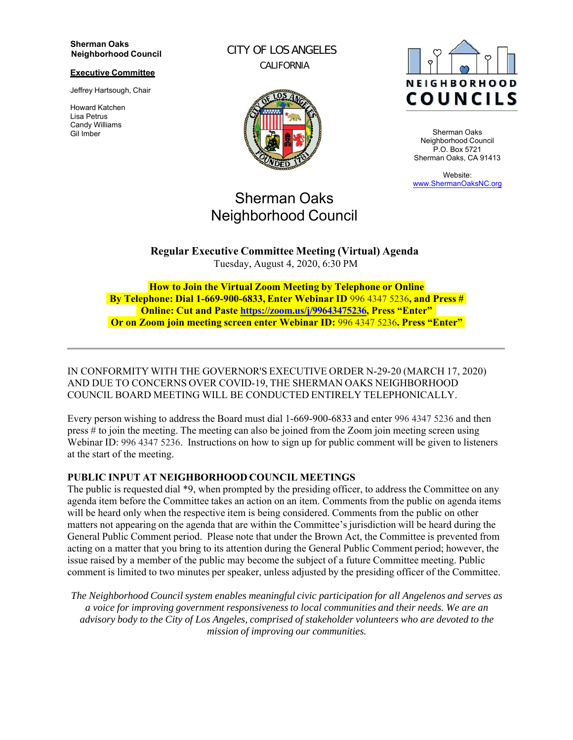#### **Sherman Oaks Neighborhood Council**

#### **Executive Committee**

Jeffrey Hartsough, Chair

Howard Katchen Lisa Petrus Candy Williams Gil Imber

CITY OF LOS ANGELES CALIFORNIA



# Sherman Oaks Neighborhood Council

**NEIGHBORHOOD COUNCILS** 

Sherman Oaks Neighborhood Council P.O. Box 5721 Sherman Oaks, CA 91413

Website: www.ShermanOaksNC.org

**Regular Executive Committee Meeting (Virtual) Agenda** Tuesday, August 4, 2020, 6:30 PM

**How to Join the Virtual Zoom Meeting by Telephone or Online By Telephone: Dial 1-669-900-6833, Enter Webinar ID** 996 4347 5236**, and Press # Online: Cut and Paste https://zoom.us/j/99643475236, Press "Enter" Or on Zoom join meeting screen enter Webinar ID:** 996 4347 5236**. Press "Enter"**

IN CONFORMITY WITH THE GOVERNOR'S EXECUTIVE ORDER N-29-20 (MARCH 17, 2020) AND DUE TO CONCERNS OVER COVID-19, THE SHERMAN OAKS NEIGHBORHOOD COUNCIL BOARD MEETING WILL BE CONDUCTED ENTIRELY TELEPHONICALLY.

Every person wishing to address the Board must dial 1-669-900-6833 and enter 996 4347 5236 and then press # to join the meeting. The meeting can also be joined from the Zoom join meeting screen using Webinar ID: 996 4347 5236. Instructions on how to sign up for public comment will be given to listeners at the start of the meeting.

#### **PUBLIC INPUT AT NEIGHBORHOOD COUNCIL MEETINGS**

The public is requested dial \*9, when prompted by the presiding officer, to address the Committee on any agenda item before the Committee takes an action on an item. Comments from the public on agenda items will be heard only when the respective item is being considered. Comments from the public on other matters not appearing on the agenda that are within the Committee's jurisdiction will be heard during the General Public Comment period. Please note that under the Brown Act, the Committee is prevented from acting on a matter that you bring to its attention during the General Public Comment period; however, the issue raised by a member of the public may become the subject of a future Committee meeting. Public comment is limited to two minutes per speaker, unless adjusted by the presiding officer of the Committee.

*The Neighborhood Council system enables meaningful civic participation for all Angelenos and serves as a voice for improving government responsiveness to local communities and their needs. We are an advisory body to the City of Los Angeles, comprised of stakeholder volunteers who are devoted to the mission of improving our communities.*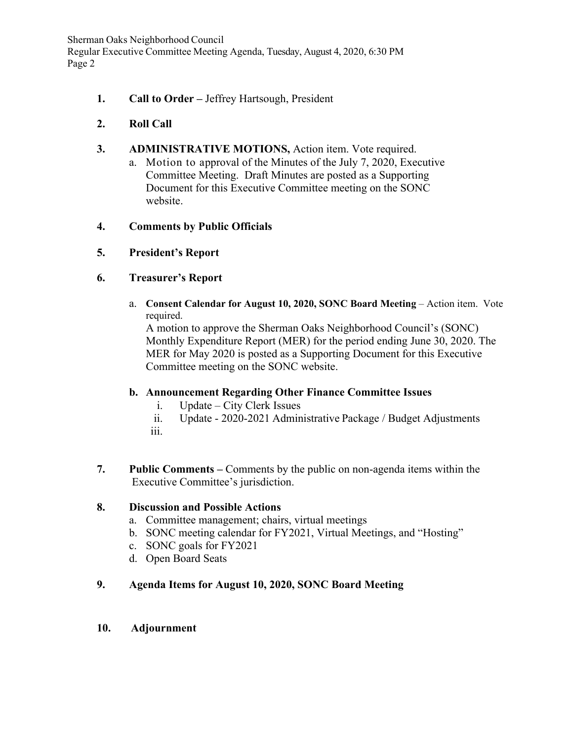Sherman Oaks Neighborhood Council Regular Executive Committee Meeting Agenda, Tuesday, August 4, 2020, 6:30 PM Page 2

**1. Call to Order –** Jeffrey Hartsough, President

# **2. Roll Call**

- **3. ADMINISTRATIVE MOTIONS,** Action item. Vote required.
	- a. Motion to approval of the Minutes of the July 7, 2020, Executive Committee Meeting. Draft Minutes are posted as a Supporting Document for this Executive Committee meeting on the SONC website.

# **4. Comments by Public Officials**

**5. President's Report**

# **6. Treasurer's Report**

a. **Consent Calendar for August 10, 2020, SONC Board Meeting** – Action item. Vote required.

A motion to approve the Sherman Oaks Neighborhood Council's (SONC) Monthly Expenditure Report (MER) for the period ending June 30, 2020. The MER for May 2020 is posted as a Supporting Document for this Executive Committee meeting on the SONC website.

# **b. Announcement Regarding Other Finance Committee Issues**

- i. Update City Clerk Issues
- ii. Update 2020-2021 Administrative Package / Budget Adjustments iii.
- **7. Public Comments** Comments by the public on non-agenda items within the Executive Committee's jurisdiction.

# **8. Discussion and Possible Actions**

- a. Committee management; chairs, virtual meetings
- b. SONC meeting calendar for FY2021, Virtual Meetings, and "Hosting"
- c. SONC goals for FY2021
- d. Open Board Seats

# **9. Agenda Items for August 10, 2020, SONC Board Meeting**

#### **10. Adjournment**